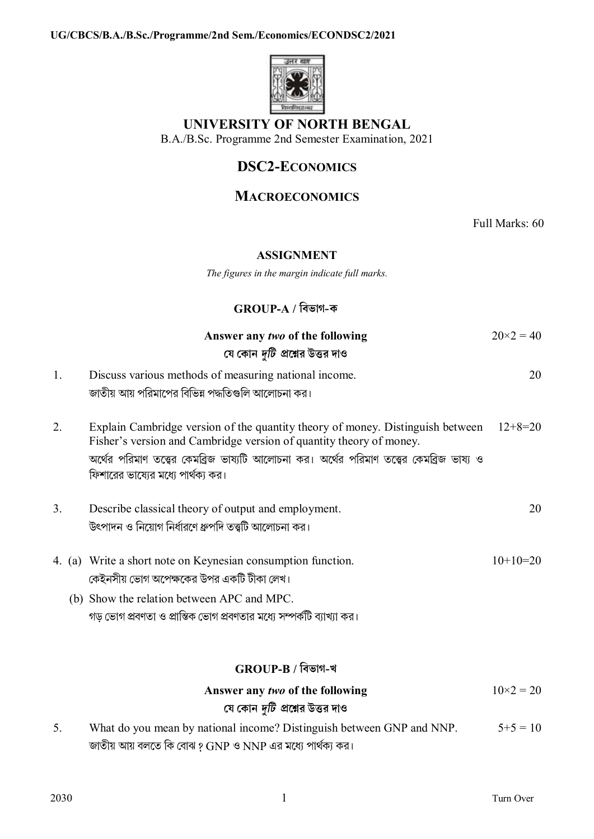

# **UNIVERSITY OF NORTH BENGAL**

B.A./B.Sc. Programme 2nd Semester Examination, 2021

# **DSC2-ECONOMICS**

## **MACROECONOMICS**

Full Marks: 60

#### **ASSIGNMENT**

*The figures in the margin indicate full marks.*

### **GROUP-A / িবভাগ-ক**

|    | Answer any two of the following<br>যে কোন <i>দুটি প্র</i> শ্নের উত্তর দাও                                                                                                                                                                                                                                                          | $20 \times 2 = 40$ |
|----|------------------------------------------------------------------------------------------------------------------------------------------------------------------------------------------------------------------------------------------------------------------------------------------------------------------------------------|--------------------|
| 1. | Discuss various methods of measuring national income.<br>জাতীয় আয় পরিমাপের বিভিন্ন পদ্ধতিগুলি আলোচনা কর।                                                                                                                                                                                                                         | 20                 |
| 2. | Explain Cambridge version of the quantity theory of money. Distinguish between<br>Fisher's version and Cambridge version of quantity theory of money.<br>অর্থের পরিমাণ তত্ত্বের কেমব্রিজ ভাষ্যটি আলোচনা কর। অর্থের পরিমাণ তত্ত্বের কেমব্রিজ ভাষ্য ও<br>ফিশারের ভাষ্যের মধ্যে পার্থক্য কর।                                          | $12+8=20$          |
| 3. | Describe classical theory of output and employment.<br>উৎপাদন ও নিয়োগ নির্ধারণে ধ্রুপদি তত্ত্বটি আলোচনা কর।                                                                                                                                                                                                                       | 20                 |
|    | 4. (a) Write a short note on Keynesian consumption function.<br>কেইনসীয় ভোগ অপেক্ষকের উপর একটি টীকা লেখ।<br>(b) Show the relation between APC and MPC.<br>গড় ভোগ প্রবণতা ও প্রান্তিক ভোগ প্রবণতার মধ্যে সম্পর্কটি ব্যাখ্যা কর।                                                                                                   | $10+10=20$         |
|    | GROUP-B / বিভাগ-খ                                                                                                                                                                                                                                                                                                                  |                    |
|    | Answer any two of the following<br>যে কোন <i>দুটি প্র</i> শ্নের উত্তর দাও                                                                                                                                                                                                                                                          | $10\times2 = 20$   |
|    | $\mathbf{A}$ $\mathbf{A}$ $\mathbf{B}$ $\mathbf{A}$ $\mathbf{B}$ $\mathbf{A}$ $\mathbf{B}$ $\mathbf{A}$ $\mathbf{B}$ $\mathbf{B}$ $\mathbf{B}$ $\mathbf{A}$ $\mathbf{B}$ $\mathbf{B}$ $\mathbf{B}$ $\mathbf{B}$ $\mathbf{B}$ $\mathbf{B}$ $\mathbf{B}$ $\mathbf{B}$ $\mathbf{B}$ $\mathbf{B}$ $\mathbf{B}$ $\mathbf{B}$ $\mathbf{$ |                    |

5. What do you mean by national income? Distinguish between GNP and NNP.  $5+5 = 10$ জাতীয় আয় বলতে কি বোঝ ? GNP ও NNP এর মধ্যে পার্থক্য কর।